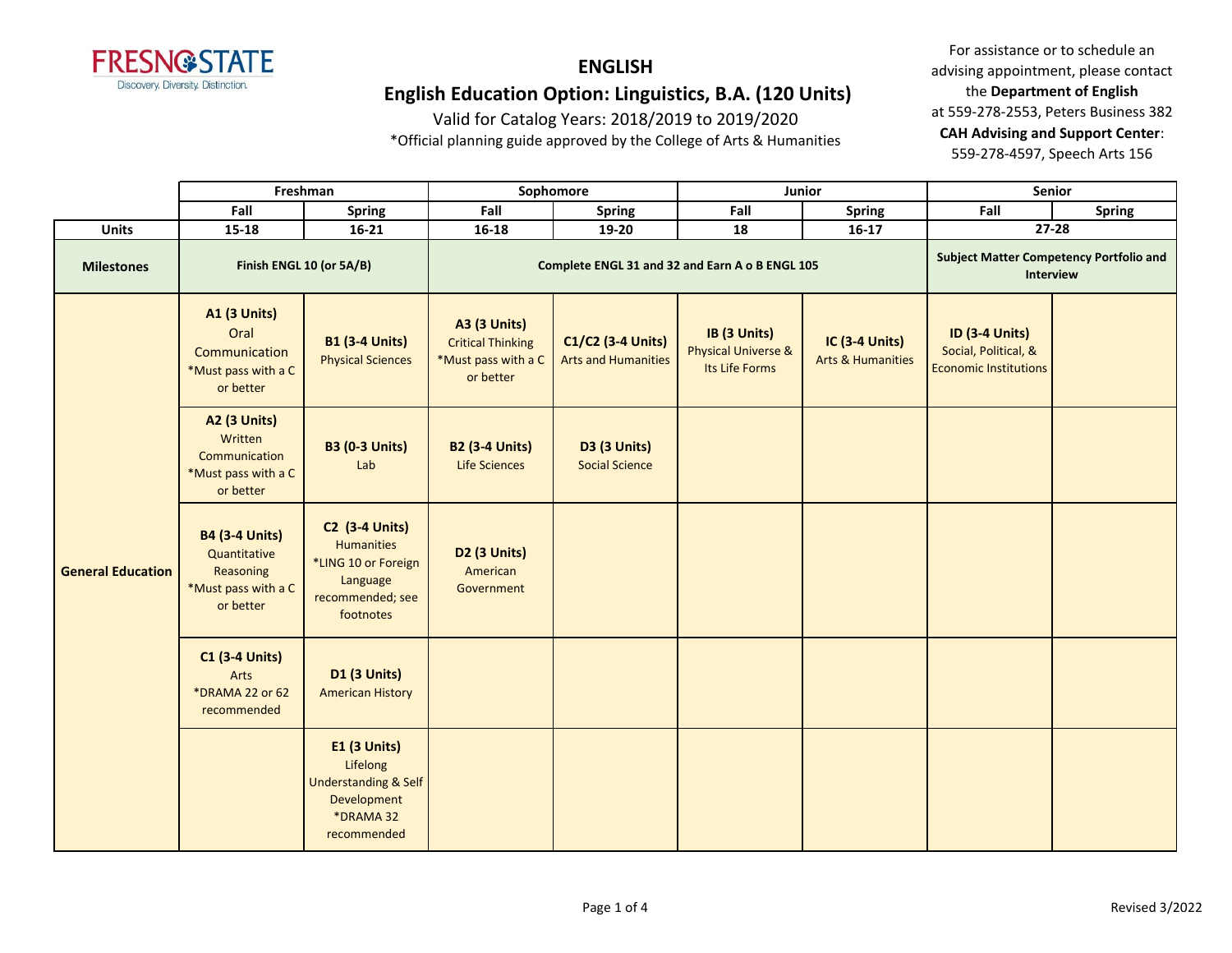

Valid for Catalog Years: 2018/2019 to 2019/2020

\*Official planning guide approved by the College of Arts & Humanities

|                          | Freshman                                                                               |                                                                                                                | Sophomore                                                                           |                                                 |                                                                  | Junior                                                      | Senior                                                                        |               |
|--------------------------|----------------------------------------------------------------------------------------|----------------------------------------------------------------------------------------------------------------|-------------------------------------------------------------------------------------|-------------------------------------------------|------------------------------------------------------------------|-------------------------------------------------------------|-------------------------------------------------------------------------------|---------------|
|                          | Fall                                                                                   | Spring                                                                                                         | Fall                                                                                | Spring                                          | Fall                                                             | Spring                                                      | Fall                                                                          | <b>Spring</b> |
| <b>Units</b>             | 15-18                                                                                  | $16 - 21$                                                                                                      | $16 - 18$                                                                           | 19-20                                           | 18                                                               | $16 - 17$                                                   |                                                                               | $27 - 28$     |
| <b>Milestones</b>        | Finish ENGL 10 (or 5A/B)                                                               |                                                                                                                | Complete ENGL 31 and 32 and Earn A o B ENGL 105                                     |                                                 |                                                                  | <b>Subject Matter Competency Portfolio and</b><br>Interview |                                                                               |               |
|                          | <b>A1 (3 Units)</b><br>Oral<br>Communication<br>*Must pass with a C<br>or better       | <b>B1 (3-4 Units)</b><br><b>Physical Sciences</b>                                                              | <b>A3 (3 Units)</b><br><b>Critical Thinking</b><br>*Must pass with a C<br>or better | C1/C2 (3-4 Units)<br><b>Arts and Humanities</b> | IB (3 Units)<br><b>Physical Universe &amp;</b><br>Its Life Forms | IC (3-4 Units)<br><b>Arts &amp; Humanities</b>              | <b>ID (3-4 Units)</b><br>Social, Political, &<br><b>Economic Institutions</b> |               |
|                          | <b>A2 (3 Units)</b><br>Written<br>Communication<br>*Must pass with a C<br>or better    | <b>B3 (0-3 Units)</b><br>Lab                                                                                   | <b>B2 (3-4 Units)</b><br><b>Life Sciences</b>                                       | <b>D3 (3 Units)</b><br><b>Social Science</b>    |                                                                  |                                                             |                                                                               |               |
| <b>General Education</b> | <b>B4 (3-4 Units)</b><br>Quantitative<br>Reasoning<br>*Must pass with a C<br>or better | <b>C2 (3-4 Units)</b><br><b>Humanities</b><br>*LING 10 or Foreign<br>Language<br>recommended; see<br>footnotes | <b>D2 (3 Units)</b><br>American<br>Government                                       |                                                 |                                                                  |                                                             |                                                                               |               |
|                          | <b>C1 (3-4 Units)</b><br>Arts<br>*DRAMA 22 or 62<br>recommended                        | <b>D1 (3 Units)</b><br><b>American History</b>                                                                 |                                                                                     |                                                 |                                                                  |                                                             |                                                                               |               |
|                          |                                                                                        | <b>E1 (3 Units)</b><br>Lifelong<br><b>Understanding &amp; Self</b><br>Development<br>*DRAMA 32<br>recommended  |                                                                                     |                                                 |                                                                  |                                                             |                                                                               |               |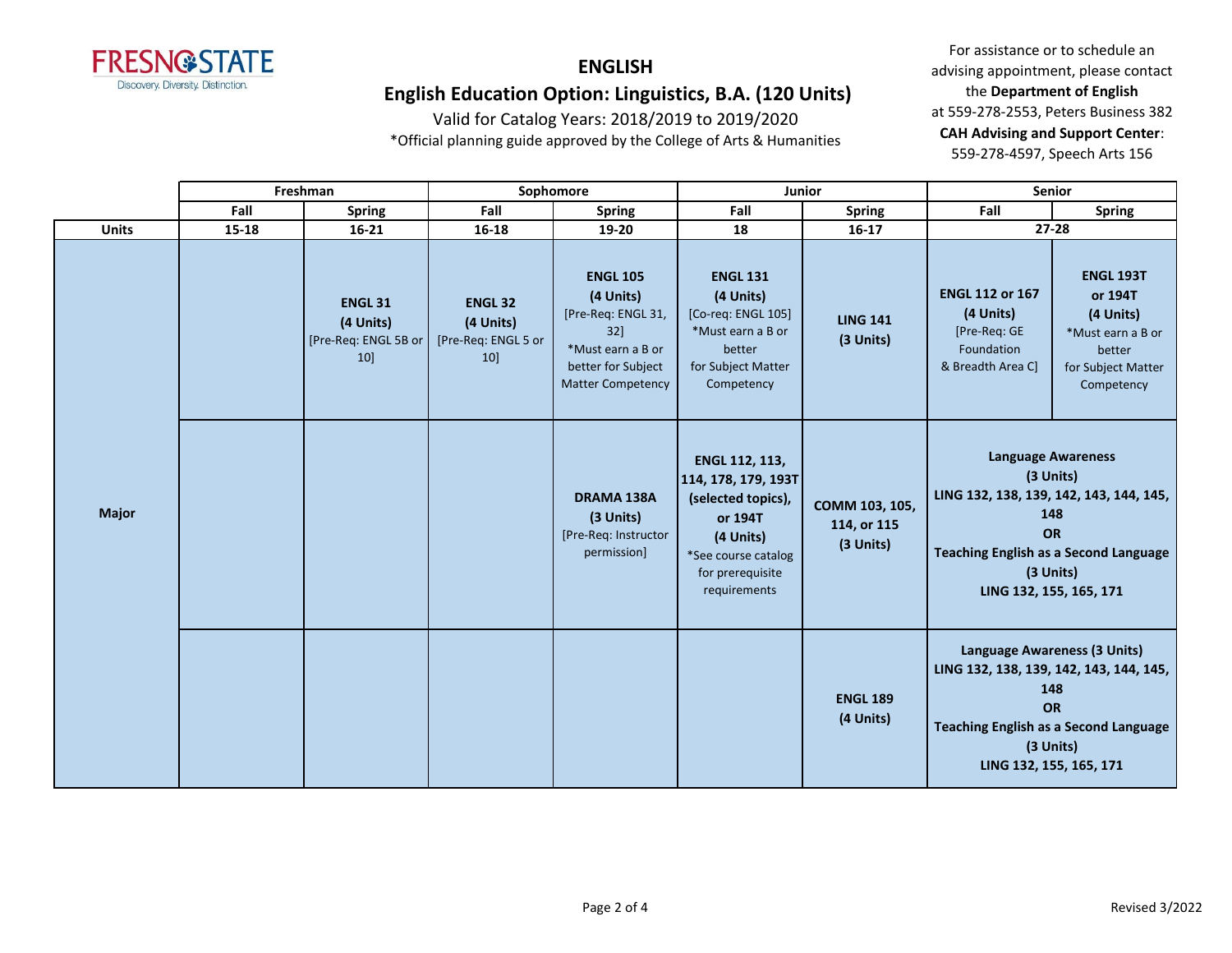

Valid for Catalog Years: 2018/2019 to 2019/2020

\*Official planning guide approved by the College of Arts & Humanities

|  |              | Freshman |                                                           | Sophomore                                                |                                                                                                                                     | Junior                                                                                                                                         |                                                                                                                                                                                     | <b>Senior</b>                                                                                                                                                                                 |                                                                                                             |
|--|--------------|----------|-----------------------------------------------------------|----------------------------------------------------------|-------------------------------------------------------------------------------------------------------------------------------------|------------------------------------------------------------------------------------------------------------------------------------------------|-------------------------------------------------------------------------------------------------------------------------------------------------------------------------------------|-----------------------------------------------------------------------------------------------------------------------------------------------------------------------------------------------|-------------------------------------------------------------------------------------------------------------|
|  |              | Fall     | Spring                                                    | Fall                                                     | <b>Spring</b>                                                                                                                       | Fall                                                                                                                                           | <b>Spring</b>                                                                                                                                                                       | Fall                                                                                                                                                                                          | <b>Spring</b>                                                                                               |
|  | <b>Units</b> | 15-18    | $16 - 21$                                                 | 16-18                                                    | 19-20                                                                                                                               | 18                                                                                                                                             | $16 - 17$                                                                                                                                                                           | 27-28                                                                                                                                                                                         |                                                                                                             |
|  | <b>Major</b> |          | <b>ENGL 31</b><br>(4 Units)<br>[Pre-Req: ENGL 5B or<br>10 | <b>ENGL 32</b><br>(4 Units)<br>[Pre-Req: ENGL 5 or<br>10 | <b>ENGL 105</b><br>(4 Units)<br>[Pre-Req: ENGL 31,<br>$32$ ]<br>*Must earn a B or<br>better for Subject<br><b>Matter Competency</b> | <b>ENGL 131</b><br>(4 Units)<br>[Co-req: ENGL 105]<br>*Must earn a B or<br>better<br>for Subject Matter<br>Competency                          | <b>LING 141</b><br>(3 Units)                                                                                                                                                        | <b>ENGL 112 or 167</b><br>(4 Units)<br>[Pre-Req: GE<br>Foundation<br>& Breadth Area C]                                                                                                        | <b>ENGL 193T</b><br>or 194T<br>(4 Units)<br>*Must earn a B or<br>better<br>for Subject Matter<br>Competency |
|  |              |          |                                                           |                                                          | DRAMA 138A<br>(3 Units)<br>[Pre-Req: Instructor<br>permission]                                                                      | ENGL 112, 113,<br>114, 178, 179, 193T<br>(selected topics),<br>or 194T<br>(4 Units)<br>*See course catalog<br>for prerequisite<br>requirements | COMM 103, 105,<br>114, or 115<br>(3 Units)                                                                                                                                          | <b>Language Awareness</b><br>(3 Units)<br>LING 132, 138, 139, 142, 143, 144, 145,<br>148<br><b>OR</b><br><b>Teaching English as a Second Language</b><br>(3 Units)<br>LING 132, 155, 165, 171 |                                                                                                             |
|  |              |          |                                                           |                                                          |                                                                                                                                     | <b>ENGL 189</b><br>(4 Units)                                                                                                                   | Language Awareness (3 Units)<br>LING 132, 138, 139, 142, 143, 144, 145,<br>148<br><b>OR</b><br><b>Teaching English as a Second Language</b><br>(3 Units)<br>LING 132, 155, 165, 171 |                                                                                                                                                                                               |                                                                                                             |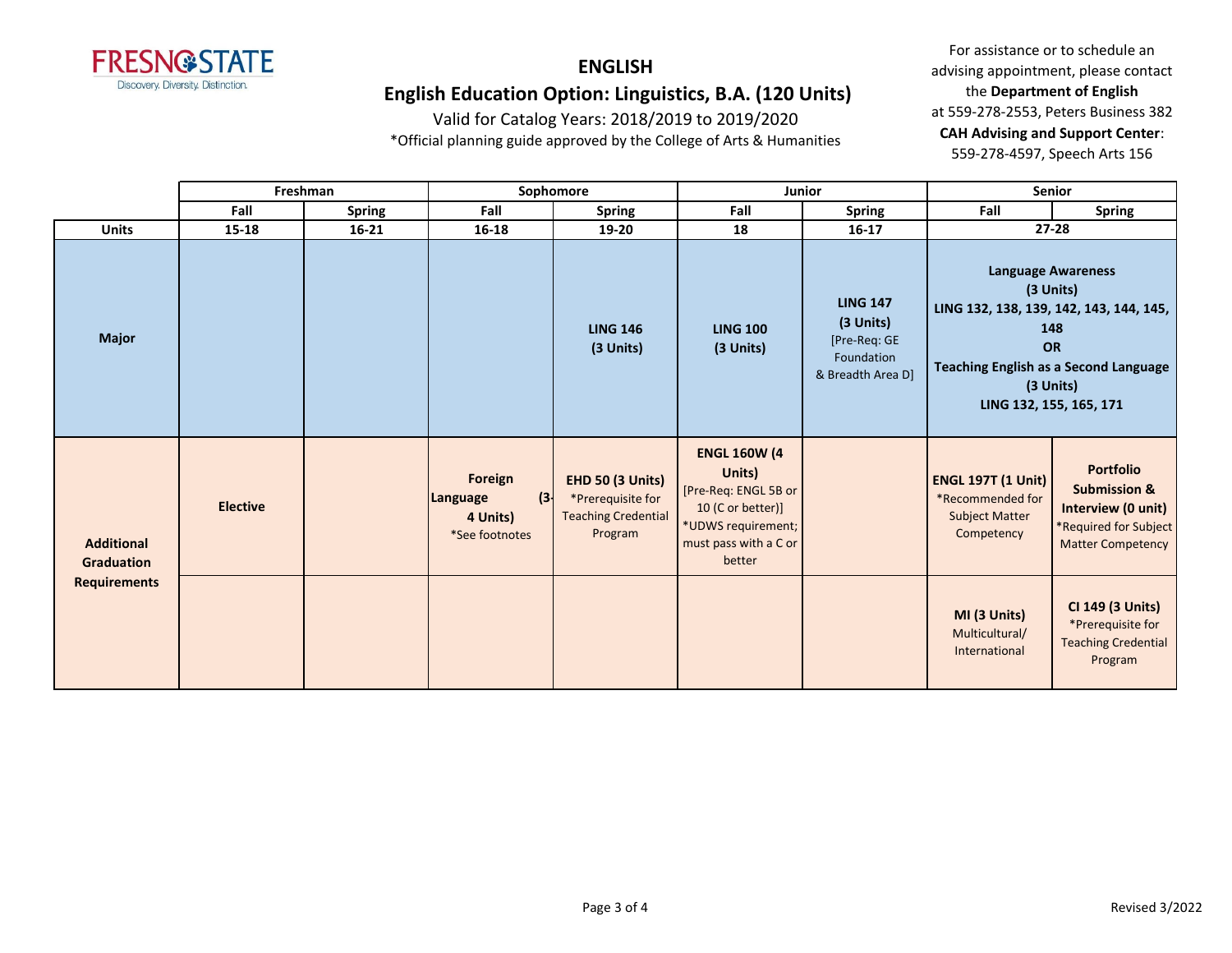

Valid for Catalog Years: 2018/2019 to 2019/2020

\*Official planning guide approved by the College of Arts & Humanities

|                                                               | Freshman        |               | Sophomore                                                                   |                                                                                       | <b>Junior</b>                                                                                                                       |                                                                                 | <b>Senior</b>                                                                        |                                                                                                                                                                                               |
|---------------------------------------------------------------|-----------------|---------------|-----------------------------------------------------------------------------|---------------------------------------------------------------------------------------|-------------------------------------------------------------------------------------------------------------------------------------|---------------------------------------------------------------------------------|--------------------------------------------------------------------------------------|-----------------------------------------------------------------------------------------------------------------------------------------------------------------------------------------------|
|                                                               | Fall            | <b>Spring</b> | Fall                                                                        | <b>Spring</b>                                                                         | Fall                                                                                                                                | Spring                                                                          | Fall                                                                                 | Spring                                                                                                                                                                                        |
| <b>Units</b>                                                  | 15-18           | $16 - 21$     | 16-18                                                                       | 19-20                                                                                 | 18                                                                                                                                  | $16 - 17$                                                                       |                                                                                      | $27 - 28$                                                                                                                                                                                     |
| <b>Major</b>                                                  |                 |               |                                                                             | <b>LING 146</b><br>(3 Units)                                                          | <b>LING 100</b><br>(3 Units)                                                                                                        | <b>LING 147</b><br>(3 Units)<br>[Pre-Req: GE<br>Foundation<br>& Breadth Area D] |                                                                                      | <b>Language Awareness</b><br>(3 Units)<br>LING 132, 138, 139, 142, 143, 144, 145,<br>148<br><b>OR</b><br><b>Teaching English as a Second Language</b><br>(3 Units)<br>LING 132, 155, 165, 171 |
| <b>Additional</b><br><b>Graduation</b><br><b>Requirements</b> | <b>Elective</b> |               | Foreign<br>$\left  \cdot \right $<br>Language<br>4 Units)<br>*See footnotes | <b>EHD 50 (3 Units)</b><br>*Prerequisite for<br><b>Teaching Credential</b><br>Program | <b>ENGL 160W (4</b><br>Units)<br>[Pre-Req: ENGL 5B or<br>10 (C or better)]<br>*UDWS requirement;<br>must pass with a C or<br>better |                                                                                 | <b>ENGL 197T (1 Unit)</b><br>*Recommended for<br><b>Subject Matter</b><br>Competency | <b>Portfolio</b><br><b>Submission &amp;</b><br>Interview (0 unit)<br>*Required for Subject<br><b>Matter Competency</b>                                                                        |
|                                                               |                 |               |                                                                             |                                                                                       |                                                                                                                                     |                                                                                 | MI (3 Units)<br>Multicultural/<br>International                                      | CI 149 (3 Units)<br>*Prerequisite for<br><b>Teaching Credential</b><br>Program                                                                                                                |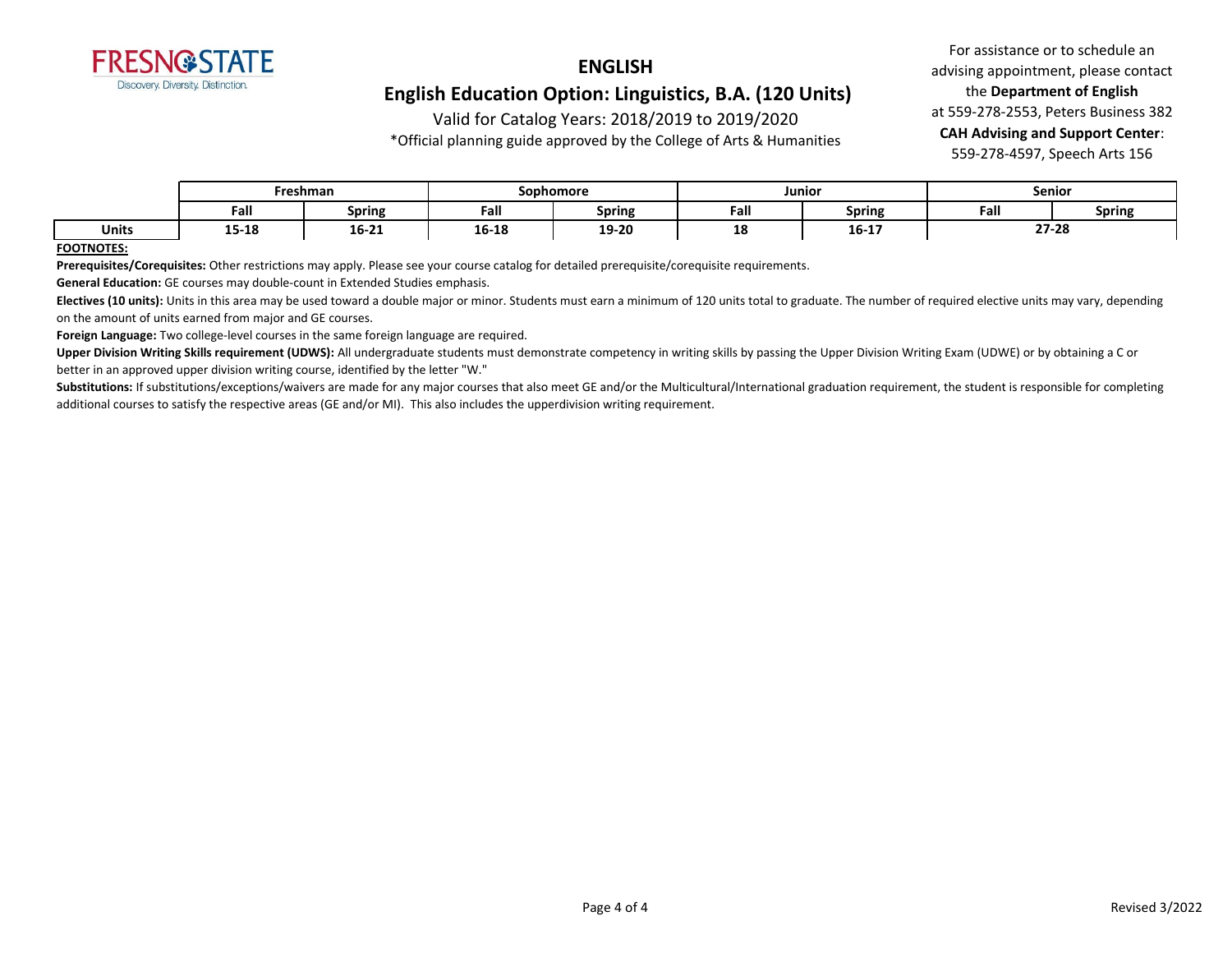

Valid for Catalog Years: 2018/2019 to 2019/2020

\*Official planning guide approved by the College of Arts & Humanities

For assistance or to schedule an advising appointment, please contact the **Department of English** at 559-278-2553, Peters Business 382 **CAH Advising and Support Center**: 559-278-4597, Speech Arts 156

|       | Freshman         |                                                          |       | Sophomore      |             | Junior        |       | <b>Senior</b> |  |
|-------|------------------|----------------------------------------------------------|-------|----------------|-------------|---------------|-------|---------------|--|
|       | Fall             | Spring                                                   | Fall  | <b>Spring</b>  | - -<br>Fall | <b>Spring</b> | Fall  | <b>Spring</b> |  |
| Units | 1 E 1 O<br>15-10 | 16-21<br>the contract of the contract of the contract of | 16-18 | 19.20<br>エフームひ | 1 O<br>τo   | 16-17         | 27-28 |               |  |

#### **FOOTNOTES:**

**Prerequisites/Corequisites:** Other restrictions may apply. Please see your course catalog for detailed prerequisite/corequisite requirements.

**General Education:** GE courses may double-count in Extended Studies emphasis.

Electives (10 units): Units in this area may be used toward a double major or minor. Students must earn a minimum of 120 units total to graduate. The number of required elective units may vary, depending on the amount of units earned from major and GE courses.

**Foreign Language:** Two college-level courses in the same foreign language are required.

Upper Division Writing Skills requirement (UDWS): All undergraduate students must demonstrate competency in writing skills by passing the Upper Division Writing Exam (UDWE) or by obtaining a C or better in an approved upper division writing course, identified by the letter "W."

Substitutions: If substitutions/exceptions/waivers are made for any major courses that also meet GE and/or the Multicultural/International graduation requirement, the student is responsible for completing additional courses to satisfy the respective areas (GE and/or MI). This also includes the upperdivision writing requirement.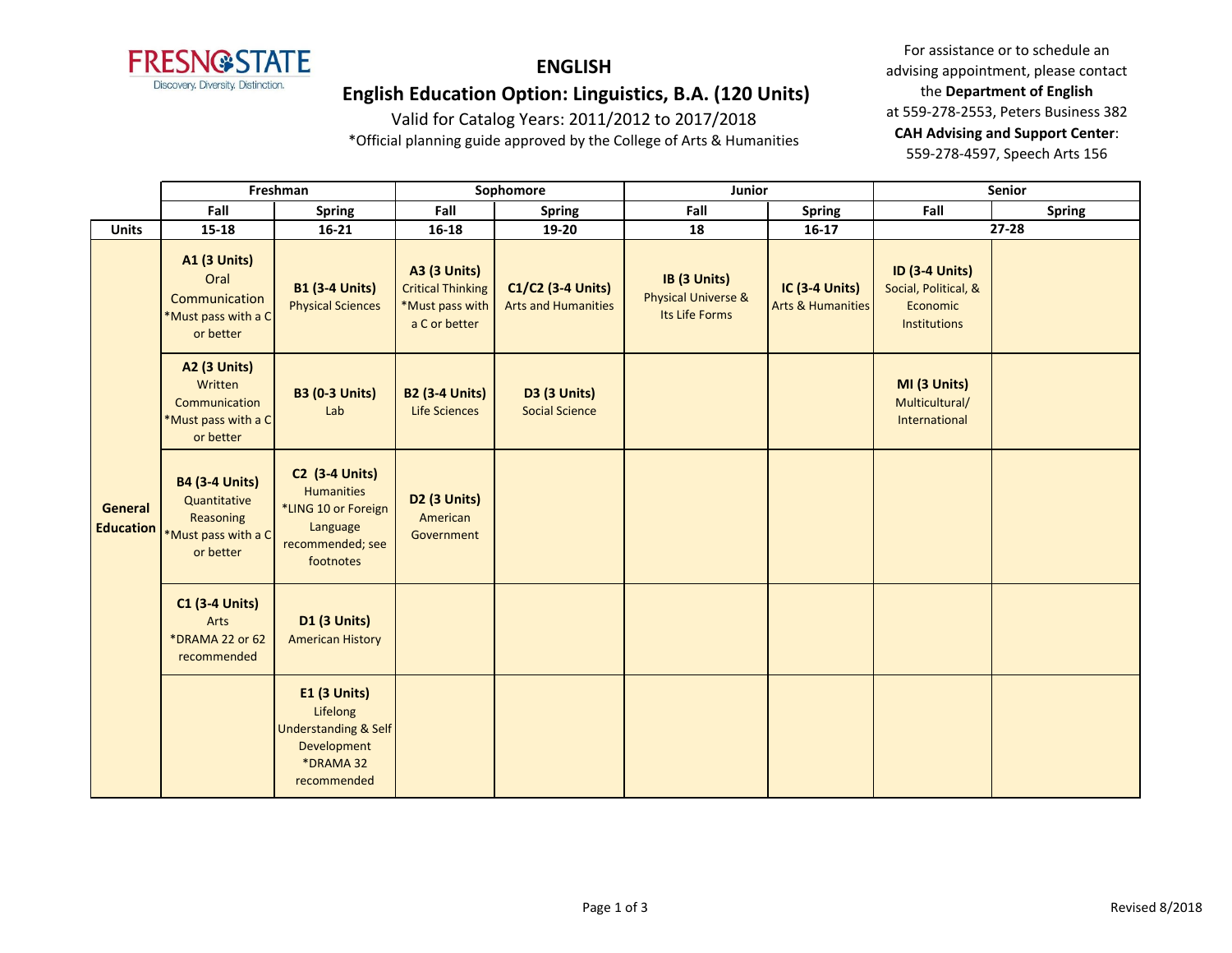

# **ENGLISH**

### **English Education Option: Linguistics, B.A. (120 Units)**

Valid for Catalog Years: 2011/2012 to 2017/2018 \*Official planning guide approved by the College of Arts & Humanities

|                                    | Freshman                                                                               |                                                                                                                | Sophomore                                                                           |                                                 | Junior                                                           |                                                | Senior                                                                    |               |
|------------------------------------|----------------------------------------------------------------------------------------|----------------------------------------------------------------------------------------------------------------|-------------------------------------------------------------------------------------|-------------------------------------------------|------------------------------------------------------------------|------------------------------------------------|---------------------------------------------------------------------------|---------------|
|                                    | Fall                                                                                   | <b>Spring</b>                                                                                                  | Fall                                                                                | <b>Spring</b>                                   | Fall                                                             | <b>Spring</b>                                  | Fall                                                                      | <b>Spring</b> |
| <b>Units</b>                       | $15 - 18$                                                                              | $16 - 21$                                                                                                      | $16 - 18$                                                                           | 19-20                                           | 18                                                               | $16-17$                                        |                                                                           | $27 - 28$     |
|                                    | <b>A1 (3 Units)</b><br>Oral<br>Communication<br>*Must pass with a C<br>or better       | <b>B1 (3-4 Units)</b><br><b>Physical Sciences</b>                                                              | <b>A3 (3 Units)</b><br><b>Critical Thinking</b><br>*Must pass with<br>a C or better | C1/C2 (3-4 Units)<br><b>Arts and Humanities</b> | IB (3 Units)<br><b>Physical Universe &amp;</b><br>Its Life Forms | IC (3-4 Units)<br><b>Arts &amp; Humanities</b> | <b>ID (3-4 Units)</b><br>Social, Political, &<br>Economic<br>Institutions |               |
|                                    | <b>A2 (3 Units)</b><br>Written<br>Communication<br>*Must pass with a C<br>or better    | <b>B3 (0-3 Units)</b><br>Lab                                                                                   | <b>B2 (3-4 Units)</b><br><b>Life Sciences</b>                                       | <b>D3 (3 Units)</b><br><b>Social Science</b>    |                                                                  |                                                | MI (3 Units)<br>Multicultural/<br>International                           |               |
| <b>General</b><br><b>Education</b> | <b>B4 (3-4 Units)</b><br>Quantitative<br>Reasoning<br>*Must pass with a C<br>or better | <b>C2 (3-4 Units)</b><br><b>Humanities</b><br>*LING 10 or Foreign<br>Language<br>recommended; see<br>footnotes | D <sub>2</sub> (3 Units)<br>American<br>Government                                  |                                                 |                                                                  |                                                |                                                                           |               |
|                                    | <b>C1 (3-4 Units)</b><br>Arts<br>*DRAMA 22 or 62<br>recommended                        | <b>D1 (3 Units)</b><br><b>American History</b>                                                                 |                                                                                     |                                                 |                                                                  |                                                |                                                                           |               |
|                                    |                                                                                        | E1 (3 Units)<br>Lifelong<br><b>Understanding &amp; Self</b><br>Development<br>*DRAMA 32<br>recommended         |                                                                                     |                                                 |                                                                  |                                                |                                                                           |               |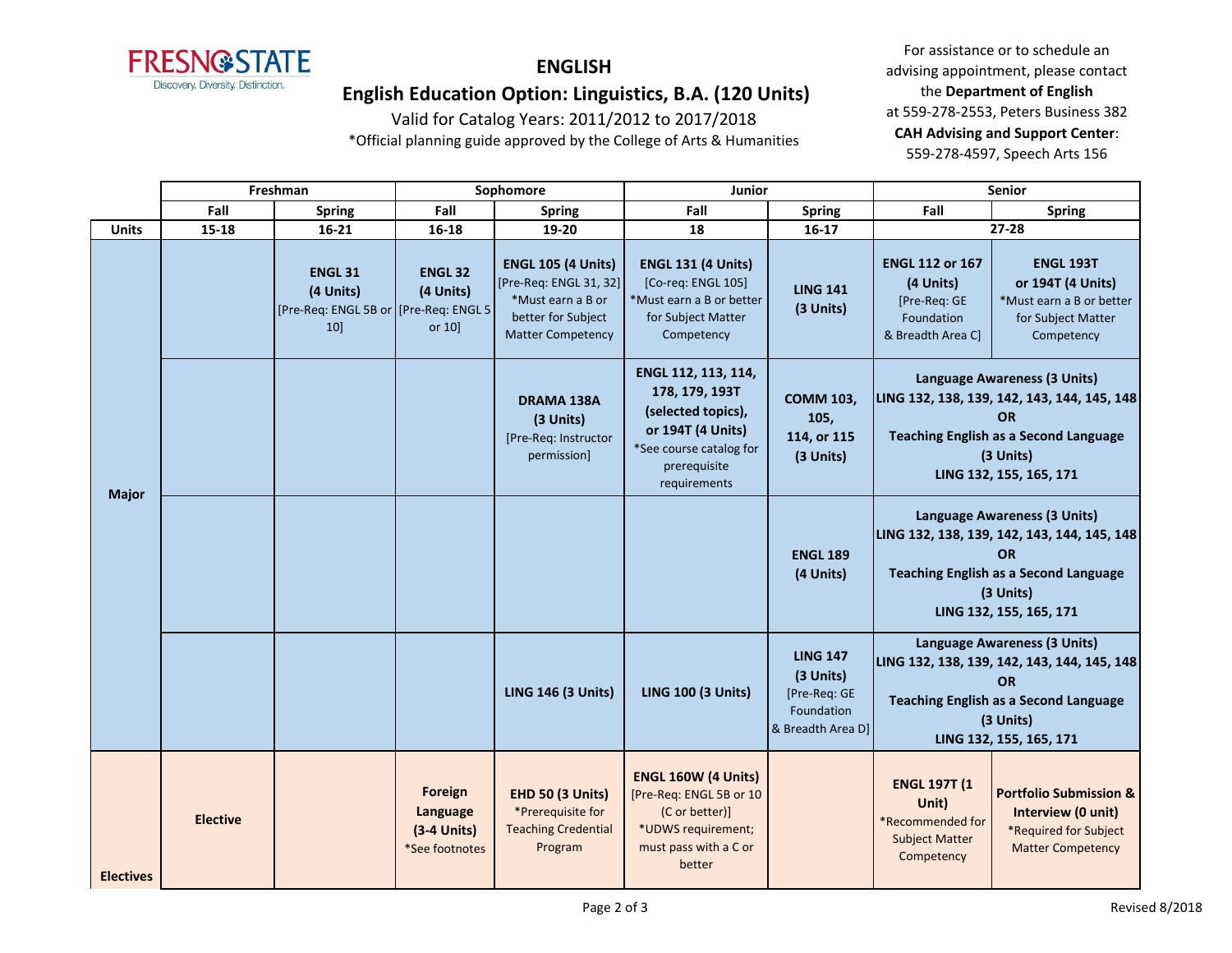

# **ENGLISH**

### **English Education Option: Linguistics, B.A. (120 Units)**

Valid for Catalog Years: 2011/2012 to 2017/2018 \*Official planning guide approved by the College of Arts & Humanities

|                  | Freshman        |                                                                                 | Sophomore                                              |                                                                                                                            | Junior                                                                                                                                      |                                                                                 | Senior                                                                                                                                                                           |                                                                                                                                                                           |
|------------------|-----------------|---------------------------------------------------------------------------------|--------------------------------------------------------|----------------------------------------------------------------------------------------------------------------------------|---------------------------------------------------------------------------------------------------------------------------------------------|---------------------------------------------------------------------------------|----------------------------------------------------------------------------------------------------------------------------------------------------------------------------------|---------------------------------------------------------------------------------------------------------------------------------------------------------------------------|
|                  | Fall            | <b>Spring</b>                                                                   | Fall                                                   | <b>Spring</b>                                                                                                              | Fall                                                                                                                                        | <b>Spring</b>                                                                   | Fall                                                                                                                                                                             | <b>Spring</b>                                                                                                                                                             |
| <b>Units</b>     | $15 - 18$       | $16 - 21$                                                                       | $16 - 18$                                              | 19-20                                                                                                                      | 18                                                                                                                                          | $16 - 17$                                                                       |                                                                                                                                                                                  | $27 - 28$                                                                                                                                                                 |
| <b>Major</b>     |                 | <b>ENGL 31</b><br>(4 Units)<br>[Pre-Req: ENGL 5B or [Pre-Req: ENGL 5]<br>$10$ ] | <b>ENGL 32</b><br>(4 Units)<br>or 10]                  | <b>ENGL 105 (4 Units)</b><br>[Pre-Req: ENGL 31, 32]<br>*Must earn a B or<br>better for Subject<br><b>Matter Competency</b> | <b>ENGL 131 (4 Units)</b><br>[Co-req: ENGL 105]<br>*Must earn a B or better<br>for Subject Matter<br>Competency                             | <b>LING 141</b><br>(3 Units)                                                    | <b>ENGL 112 or 167</b><br>(4 Units)<br>[Pre-Req: GE<br>Foundation<br>& Breadth Area Cl                                                                                           | <b>ENGL 193T</b><br>or 194T (4 Units)<br>*Must earn a B or better<br>for Subject Matter<br>Competency                                                                     |
|                  |                 |                                                                                 |                                                        | DRAMA 138A<br>(3 Units)<br>[Pre-Req: Instructor<br>permission]                                                             | ENGL 112, 113, 114,<br>178, 179, 193T<br>(selected topics),<br>or 194T (4 Units)<br>*See course catalog for<br>prerequisite<br>requirements | <b>COMM 103,</b><br>105,<br>114, or 115<br>(3 Units)                            |                                                                                                                                                                                  | Language Awareness (3 Units)<br>LING 132, 138, 139, 142, 143, 144, 145, 148<br>OR<br><b>Teaching English as a Second Language</b><br>(3 Units)<br>LING 132, 155, 165, 171 |
|                  |                 |                                                                                 |                                                        |                                                                                                                            |                                                                                                                                             | <b>ENGL 189</b><br>(4 Units)                                                    | Language Awareness (3 Units)<br>LING 132, 138, 139, 142, 143, 144, 145, 148<br><b>OR</b><br><b>Teaching English as a Second Language</b><br>(3 Units)<br>LING 132, 155, 165, 171 |                                                                                                                                                                           |
|                  |                 |                                                                                 |                                                        | <b>LING 146 (3 Units)</b>                                                                                                  | <b>LING 100 (3 Units)</b>                                                                                                                   | <b>LING 147</b><br>(3 Units)<br>[Pre-Req: GE<br>Foundation<br>& Breadth Area D] | Language Awareness (3 Units)<br>LING 132, 138, 139, 142, 143, 144, 145, 148<br><b>OR</b><br><b>Teaching English as a Second Language</b><br>(3 Units)<br>LING 132, 155, 165, 171 |                                                                                                                                                                           |
| <b>Electives</b> | <b>Elective</b> |                                                                                 | Foreign<br>Language<br>$(3-4$ Units)<br>*See footnotes | <b>EHD 50 (3 Units)</b><br>*Prerequisite for<br><b>Teaching Credential</b><br>Program                                      | ENGL 160W (4 Units)<br>[Pre-Req: ENGL 5B or 10<br>(C or better)]<br>*UDWS requirement;<br>must pass with a C or<br>better                   |                                                                                 | <b>ENGL 197T (1</b><br>Unit)<br>*Recommended for<br><b>Subject Matter</b><br>Competency                                                                                          | <b>Portfolio Submission &amp;</b><br>Interview (0 unit)<br>*Required for Subject<br><b>Matter Competency</b>                                                              |